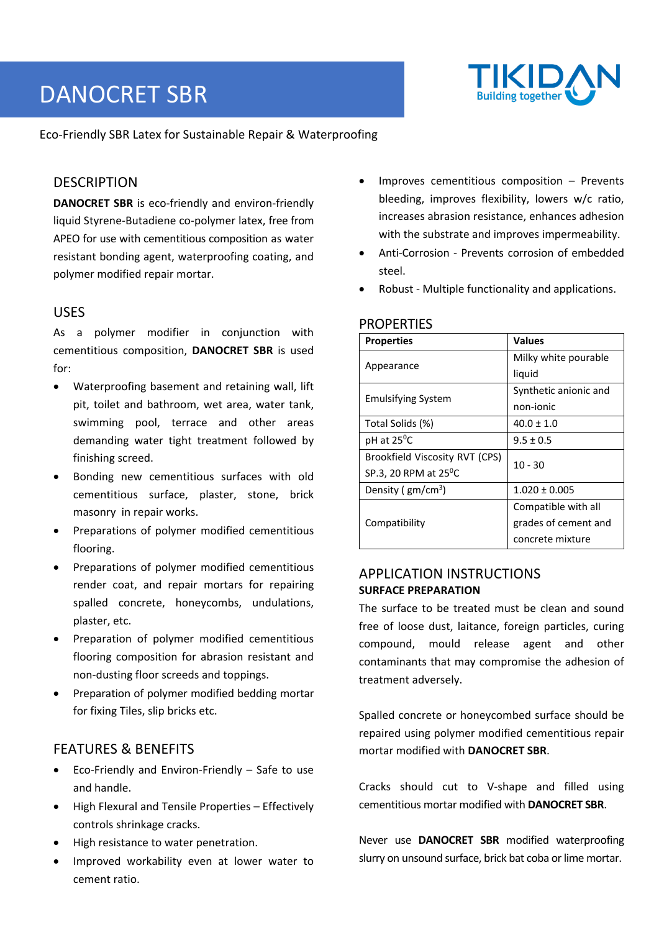# DANOCRET SBR



Eco‐Friendly SBR Latex for Sustainable Repair & Waterproofing

## **DESCRIPTION**

**DANOCRET SBR** is eco-friendly and environ-friendly liquid Styrene‐Butadiene co‐polymer latex, free from APEO for use with cementitious composition as water resistant bonding agent, waterproofing coating, and polymer modified repair mortar.

## USES

As a polymer modifier in conjunction with cementitious composition, **DANOCRET SBR** is used for:

- Waterproofing basement and retaining wall, lift pit, toilet and bathroom, wet area, water tank, swimming pool, terrace and other areas demanding water tight treatment followed by finishing screed.
- Bonding new cementitious surfaces with old cementitious surface, plaster, stone, brick masonry in repair works.
- Preparations of polymer modified cementitious flooring.
- Preparations of polymer modified cementitious render coat, and repair mortars for repairing spalled concrete, honeycombs, undulations, plaster, etc.
- Preparation of polymer modified cementitious flooring composition for abrasion resistant and non‐dusting floor screeds and toppings.
- Preparation of polymer modified bedding mortar for fixing Tiles, slip bricks etc.

## FEATURES & BENEFITS

- Eco‐Friendly and Environ‐Friendly Safe to use and handle.
- High Flexural and Tensile Properties Effectively controls shrinkage cracks.
- High resistance to water penetration.
- Improved workability even at lower water to cement ratio.
- Improves cementitious composition Prevents bleeding, improves flexibility, lowers w/c ratio, increases abrasion resistance, enhances adhesion with the substrate and improves impermeability.
- Anti‐Corrosion ‐ Prevents corrosion of embedded steel.
- Robust ‐ Multiple functionality and applications.

### **PROPERTIES**

| <b>Properties</b>              | <b>Values</b>         |  |
|--------------------------------|-----------------------|--|
|                                | Milky white pourable  |  |
| Appearance                     | liquid                |  |
| <b>Emulsifying System</b>      | Synthetic anionic and |  |
|                                | non-ionic             |  |
| Total Solids (%)               | $40.0 \pm 1.0$        |  |
| pH at 25 <sup>o</sup> C        | $9.5 \pm 0.5$         |  |
| Brookfield Viscosity RVT (CPS) | $10 - 30$             |  |
| SP.3, 20 RPM at $25^{\circ}$ C |                       |  |
| Density ( $gm/cm3$ )           | $1.020 \pm 0.005$     |  |
|                                | Compatible with all   |  |
| Compatibility                  | grades of cement and  |  |
|                                | concrete mixture      |  |

## APPLICATION INSTRUCTIONS **SURFACE PREPARATION**

The surface to be treated must be clean and sound free of loose dust, laitance, foreign particles, curing compound, mould release agent and other contaminants that may compromise the adhesion of treatment adversely.

Spalled concrete or honeycombed surface should be repaired using polymer modified cementitious repair mortar modified with **DANOCRET SBR**.

Cracks should cut to V‐shape and filled using cementitious mortar modified with **DANOCRET SBR**.

Never use **DANOCRET SBR** modified waterproofing slurry on unsound surface, brick bat coba or lime mortar.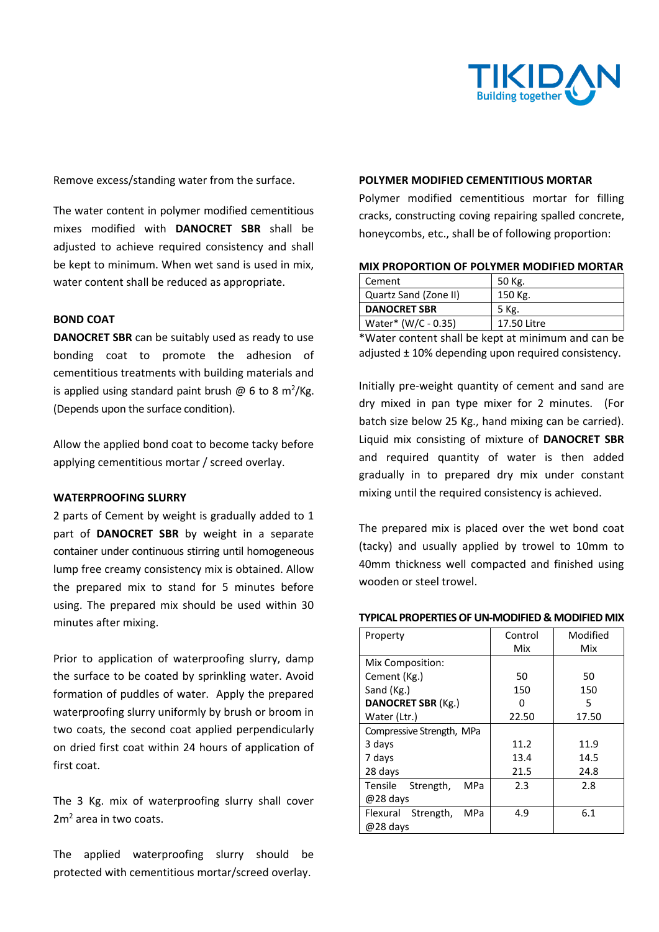

Remove excess/standing water from the surface.

The water content in polymer modified cementitious mixes modified with **DANOCRET SBR** shall be adjusted to achieve required consistency and shall be kept to minimum. When wet sand is used in mix, water content shall be reduced as appropriate.

#### **BOND COAT**

**DANOCRET SBR** can be suitably used as ready to use bonding coat to promote the adhesion of cementitious treatments with building materials and is applied using standard paint brush  $\omega$  6 to 8 m<sup>2</sup>/Kg. (Depends upon the surface condition).

Allow the applied bond coat to become tacky before applying cementitious mortar / screed overlay.

#### **WATERPROOFING SLURRY**

2 parts of Cement by weight is gradually added to 1 part of **DANOCRET SBR** by weight in a separate container under continuous stirring until homogeneous lump free creamy consistency mix is obtained. Allow the prepared mix to stand for 5 minutes before using. The prepared mix should be used within 30 minutes after mixing.

Prior to application of waterproofing slurry, damp the surface to be coated by sprinkling water. Avoid formation of puddles of water. Apply the prepared waterproofing slurry uniformly by brush or broom in two coats, the second coat applied perpendicularly on dried first coat within 24 hours of application of first coat.

The 3 Kg. mix of waterproofing slurry shall cover 2m<sup>2</sup> area in two coats.

The applied waterproofing slurry should be protected with cementitious mortar/screed overlay.

#### **POLYMER MODIFIED CEMENTITIOUS MORTAR**

Polymer modified cementitious mortar for filling cracks, constructing coving repairing spalled concrete, honeycombs, etc., shall be of following proportion:

| MIX PROPORTION OF POLYMER MODIFIED MORTAR |  |  |
|-------------------------------------------|--|--|
|-------------------------------------------|--|--|

| Cement                | 50 Kg.      |
|-----------------------|-------------|
| Quartz Sand (Zone II) | 150 Kg.     |
| <b>DANOCRET SBR</b>   | 5 Kg.       |
| Water* (W/C - 0.35)   | 17.50 Litre |

\*Water content shall be kept at minimum and can be adjusted ± 10% depending upon required consistency.

Initially pre‐weight quantity of cement and sand are dry mixed in pan type mixer for 2 minutes. (For batch size below 25 Kg., hand mixing can be carried). Liquid mix consisting of mixture of **DANOCRET SBR** and required quantity of water is then added gradually in to prepared dry mix under constant mixing until the required consistency is achieved.

The prepared mix is placed over the wet bond coat (tacky) and usually applied by trowel to 10mm to 40mm thickness well compacted and finished using wooden or steel trowel.

#### **TYPICAL PROPERTIES OF UN‐MODIFIED & MODIFIED MIX**

| Property                    | Control | Modified |
|-----------------------------|---------|----------|
|                             | Mix     | Mix      |
| Mix Composition:            |         |          |
| Cement (Kg.)                | 50      | 50       |
| Sand (Kg.)                  | 150     | 150      |
| DANOCRET SBR (Kg.)          | n       | 5        |
| Water (Ltr.)                | 22.50   | 17.50    |
| Compressive Strength, MPa   |         |          |
| 3 days                      | 11.2    | 11.9     |
| 7 days                      | 13.4    | 14.5     |
| 28 days                     | 21.5    | 24.8     |
| Tensile<br>Strength,<br>MPa | 2.3     | 2.8      |
| @28 days                    |         |          |
| Flexural Strength,<br>MPa   | 4.9     | 6.1      |
| @28 days                    |         |          |